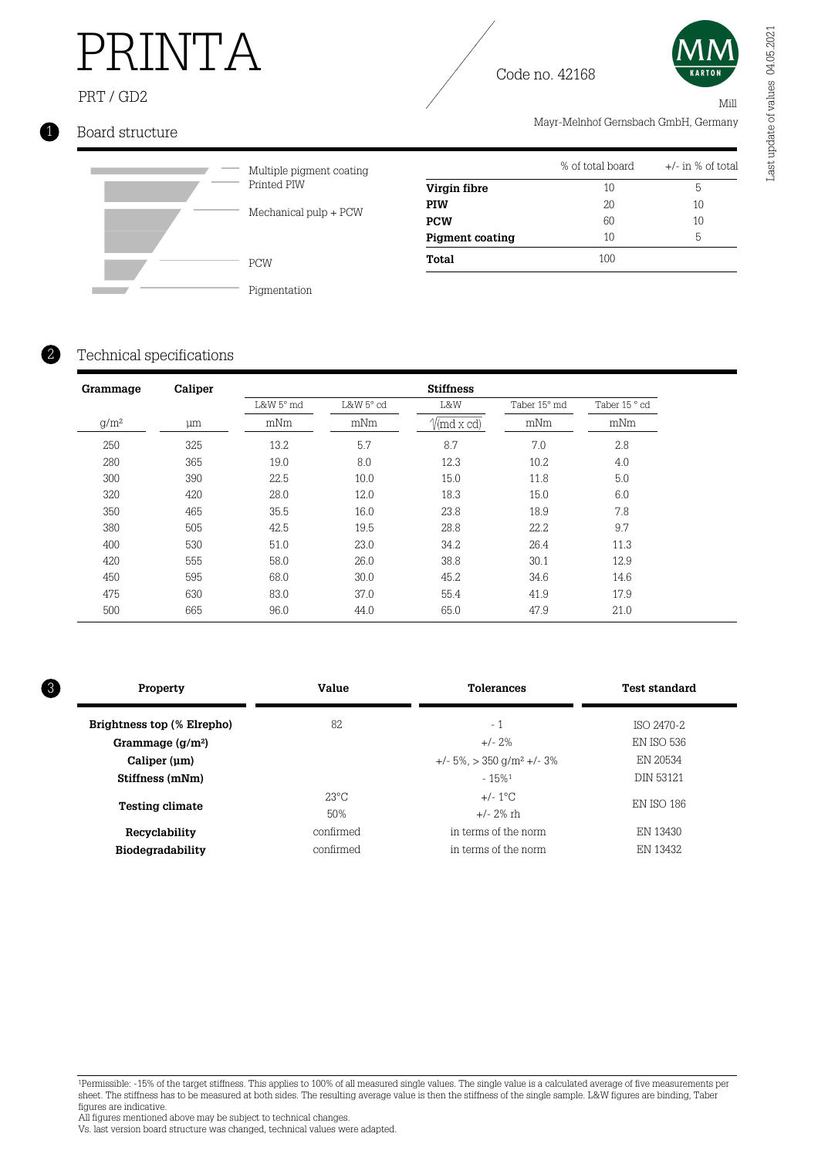# PRINTA

### PRT / GD2





Mill

Mayr-Melnhof Gernsbach GmbH, Germany

### 1 Board structure



Multiple pigment coating Printed PIW Mechanical pulp + PCW

|                        | % of total board | $+/-$ in % of total |
|------------------------|------------------|---------------------|
| Virgin fibre           | 10               | 5                   |
| <b>PIW</b>             | 20               | 10                  |
| <b>PCW</b>             | 60               | 10                  |
| <b>Pigment coating</b> | 10               | 5                   |
| Total                  | 100              |                     |

Pigmentation

### Technical specifications

2

| Grammage | Caliper |           |                         | <b>Stiffness</b>                    |              |               |  |
|----------|---------|-----------|-------------------------|-------------------------------------|--------------|---------------|--|
|          |         | L&W 5° md | $L&W 5^\circ \text{cd}$ | L&W                                 | Taber 15° md | Taber 15 ° cd |  |
| $q/m^2$  | μm      | mNm       | mNm                     | $\sqrt{\text{md} \times \text{cd}}$ | mNm          | mNm           |  |
| 250      | 325     | 13.2      | 5.7                     | 8.7                                 | 7.0          | 2.8           |  |
| 280      | 365     | 19.0      | 8.0                     | 12.3                                | 10.2         | 4.0           |  |
| 300      | 390     | 22.5      | 10.0                    | 15.0                                | 11.8         | 5.0           |  |
| 320      | 420     | 28.0      | 12.0                    | 18.3                                | 15.0         | 6.0           |  |
| 350      | 465     | 35.5      | 16.0                    | 23.8                                | 18.9         | 7.8           |  |
| 380      | 505     | 42.5      | 19.5                    | 28.8                                | 22.2         | 9.7           |  |
| 400      | 530     | 51.0      | 23.0                    | 34.2                                | 26.4         | 11.3          |  |
| 420      | 555     | 58.0      | 26.0                    | 38.8                                | 30.1         | 12.9          |  |
| 450      | 595     | 68.0      | 30.0                    | 45.2                                | 34.6         | 14.6          |  |
| 475      | 630     | 83.0      | 37.0                    | 55.4                                | 41.9         | 17.9          |  |
| 500      | 665     | 96.0      | 44.0                    | 65.0                                | 47.9         | 21.0          |  |

| Property                   | Value          | <b>Tolerances</b>                              | <b>Test standard</b> |  |
|----------------------------|----------------|------------------------------------------------|----------------------|--|
| Brightness top (% Elrepho) | 82.            | $-1$                                           | ISO 2470-2           |  |
| Grammage $(g/m2)$          |                | $+/- 2\%$                                      | EN ISO 536           |  |
| Caliper (um)               |                | $+/- 5\%$ , $> 350$ g/m <sup>2</sup> $+/- 3\%$ | EN 20534             |  |
| Stiffness (mNm)            |                | $-15%1$                                        | <b>DIN 53121</b>     |  |
| <b>Testing climate</b>     | $23^{\circ}$ C | $+/- 1^{\circ}$ C                              | <b>EN ISO 186</b>    |  |
|                            | 50%            | $+/- 2\%$ rh                                   |                      |  |
| Recyclability              | confirmed      | in terms of the norm                           | EN 13430             |  |
| Biodegradability           | confirmed      | in terms of the norm                           | EN 13432             |  |

<sup>1</sup>Permissible: -15% of the target stiffness. This applies to 100% of all measured single values. The single value is a calculated average of five measurements per sheet. The stiffness has to be measured at both sides. The resulting average value is then the stiffness of the single sample. L&W figures are binding, Taber figures are indicative.

All figures mentioned above may be subject to technical changes.

Vs. last version board structure was changed, technical values were adapted.